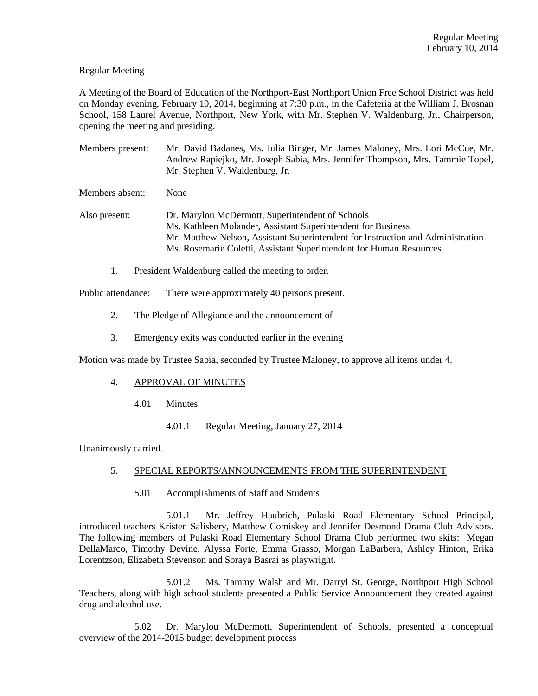## Regular Meeting

A Meeting of the Board of Education of the Northport-East Northport Union Free School District was held on Monday evening, February 10, 2014, beginning at 7:30 p.m., in the Cafeteria at the William J. Brosnan School, 158 Laurel Avenue, Northport, New York, with Mr. Stephen V. Waldenburg, Jr., Chairperson, opening the meeting and presiding.

Members present: Mr. David Badanes, Ms. Julia Binger, Mr. James Maloney, Mrs. Lori McCue, Mr. Andrew Rapiejko, Mr. Joseph Sabia, Mrs. Jennifer Thompson, Mrs. Tammie Topel, Mr. Stephen V. Waldenburg, Jr.

Members absent: None

Also present: Dr. Marylou McDermott, Superintendent of Schools Ms. Kathleen Molander, Assistant Superintendent for Business Mr. Matthew Nelson, Assistant Superintendent for Instruction and Administration Ms. Rosemarie Coletti, Assistant Superintendent for Human Resources

1. President Waldenburg called the meeting to order.

Public attendance: There were approximately 40 persons present.

- 2. The Pledge of Allegiance and the announcement of
- 3. Emergency exits was conducted earlier in the evening

Motion was made by Trustee Sabia, seconded by Trustee Maloney, to approve all items under 4.

## 4. APPROVAL OF MINUTES

- 4.01 Minutes
	- 4.01.1 Regular Meeting, January 27, 2014

Unanimously carried.

# 5. SPECIAL REPORTS/ANNOUNCEMENTS FROM THE SUPERINTENDENT

5.01 Accomplishments of Staff and Students

5.01.1 Mr. Jeffrey Haubrich, Pulaski Road Elementary School Principal, introduced teachers Kristen Salisbery, Matthew Comiskey and Jennifer Desmond Drama Club Advisors. The following members of Pulaski Road Elementary School Drama Club performed two skits: Megan DellaMarco, Timothy Devine, Alyssa Forte, Emma Grasso, Morgan LaBarbera, Ashley Hinton, Erika Lorentzson, Elizabeth Stevenson and Soraya Basrai as playwright.

5.01.2 Ms. Tammy Walsh and Mr. Darryl St. George, Northport High School Teachers, along with high school students presented a Public Service Announcement they created against drug and alcohol use.

5.02 Dr. Marylou McDermott, Superintendent of Schools, presented a conceptual overview of the 2014-2015 budget development process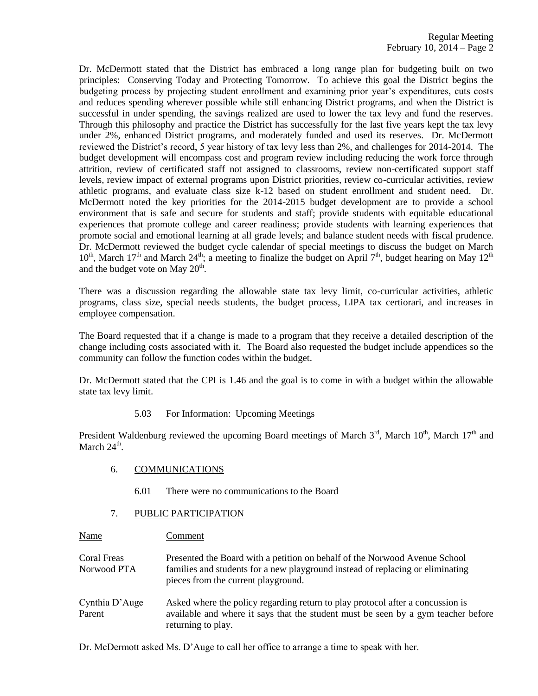Dr. McDermott stated that the District has embraced a long range plan for budgeting built on two principles: Conserving Today and Protecting Tomorrow. To achieve this goal the District begins the budgeting process by projecting student enrollment and examining prior year's expenditures, cuts costs and reduces spending wherever possible while still enhancing District programs, and when the District is successful in under spending, the savings realized are used to lower the tax levy and fund the reserves. Through this philosophy and practice the District has successfully for the last five years kept the tax levy under 2%, enhanced District programs, and moderately funded and used its reserves. Dr. McDermott reviewed the District's record, 5 year history of tax levy less than 2%, and challenges for 2014-2014. The budget development will encompass cost and program review including reducing the work force through attrition, review of certificated staff not assigned to classrooms, review non-certificated support staff levels, review impact of external programs upon District priorities, review co-curricular activities, review athletic programs, and evaluate class size k-12 based on student enrollment and student need. Dr. McDermott noted the key priorities for the 2014-2015 budget development are to provide a school environment that is safe and secure for students and staff; provide students with equitable educational experiences that promote college and career readiness; provide students with learning experiences that promote social and emotional learning at all grade levels; and balance student needs with fiscal prudence. Dr. McDermott reviewed the budget cycle calendar of special meetings to discuss the budget on March  $10^{th}$ , March  $17^{th}$  and March  $24^{th}$ ; a meeting to finalize the budget on April  $7^{th}$ , budget hearing on May  $12^{th}$ and the budget vote on May  $20^{\text{th}}$ .

There was a discussion regarding the allowable state tax levy limit, co-curricular activities, athletic programs, class size, special needs students, the budget process, LIPA tax certiorari, and increases in employee compensation.

The Board requested that if a change is made to a program that they receive a detailed description of the change including costs associated with it. The Board also requested the budget include appendices so the community can follow the function codes within the budget.

Dr. McDermott stated that the CPI is 1.46 and the goal is to come in with a budget within the allowable state tax levy limit.

5.03 For Information: Upcoming Meetings

President Waldenburg reviewed the upcoming Board meetings of March  $3<sup>rd</sup>$ , March  $10<sup>th</sup>$ , March  $17<sup>th</sup>$  and March  $24^{\text{th}}$ .

- 6. COMMUNICATIONS
	- 6.01 There were no communications to the Board

## 7. PUBLIC PARTICIPATION

Name Comment

Coral Freas Presented the Board with a petition on behalf of the Norwood Avenue School Norwood PTA families and students for a new playground instead of replacing or eliminating pieces from the current playground.

Cynthia D'Auge Asked where the policy regarding return to play protocol after a concussion is Parent available and where it says that the student must be seen by a gym teacher before returning to play.

Dr. McDermott asked Ms. D'Auge to call her office to arrange a time to speak with her.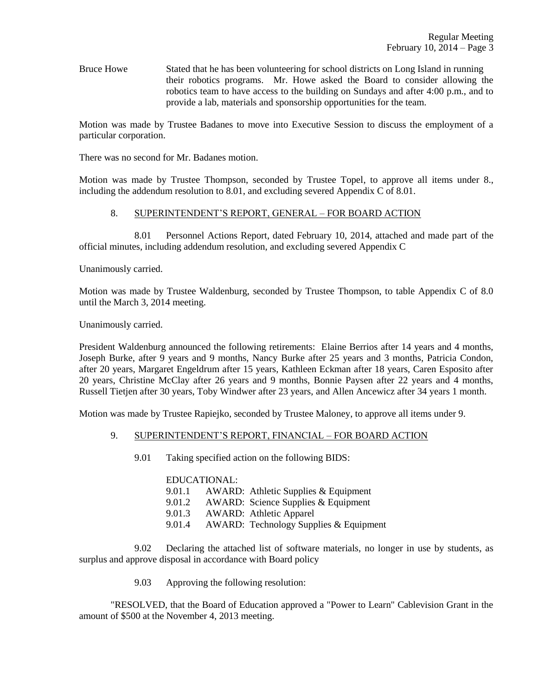Bruce Howe Stated that he has been volunteering for school districts on Long Island in running their robotics programs. Mr. Howe asked the Board to consider allowing the robotics team to have access to the building on Sundays and after 4:00 p.m., and to provide a lab, materials and sponsorship opportunities for the team.

Motion was made by Trustee Badanes to move into Executive Session to discuss the employment of a particular corporation.

There was no second for Mr. Badanes motion.

Motion was made by Trustee Thompson, seconded by Trustee Topel, to approve all items under 8., including the addendum resolution to 8.01, and excluding severed Appendix C of 8.01.

#### 8. SUPERINTENDENT'S REPORT, GENERAL – FOR BOARD ACTION

8.01 Personnel Actions Report, dated February 10, 2014, attached and made part of the official minutes, including addendum resolution, and excluding severed Appendix C

Unanimously carried.

Motion was made by Trustee Waldenburg, seconded by Trustee Thompson, to table Appendix C of 8.0 until the March 3, 2014 meeting.

Unanimously carried.

President Waldenburg announced the following retirements: Elaine Berrios after 14 years and 4 months, Joseph Burke, after 9 years and 9 months, Nancy Burke after 25 years and 3 months, Patricia Condon, after 20 years, Margaret Engeldrum after 15 years, Kathleen Eckman after 18 years, Caren Esposito after 20 years, Christine McClay after 26 years and 9 months, Bonnie Paysen after 22 years and 4 months, Russell Tietjen after 30 years, Toby Windwer after 23 years, and Allen Ancewicz after 34 years 1 month.

Motion was made by Trustee Rapiejko, seconded by Trustee Maloney, to approve all items under 9.

#### 9. SUPERINTENDENT'S REPORT, FINANCIAL – FOR BOARD ACTION

9.01 Taking specified action on the following BIDS:

#### EDUCATIONAL:

| 9.01.1 | AWARD: Athletic Supplies & Equipment   |
|--------|----------------------------------------|
| 9.01.2 | AWARD: Science Supplies & Equipment    |
| 9.01.3 | <b>AWARD:</b> Athletic Apparel         |
| 9.01.4 | AWARD: Technology Supplies & Equipment |

9.02 Declaring the attached list of software materials, no longer in use by students, as surplus and approve disposal in accordance with Board policy

9.03 Approving the following resolution:

"RESOLVED, that the Board of Education approved a "Power to Learn" Cablevision Grant in the amount of \$500 at the November 4, 2013 meeting.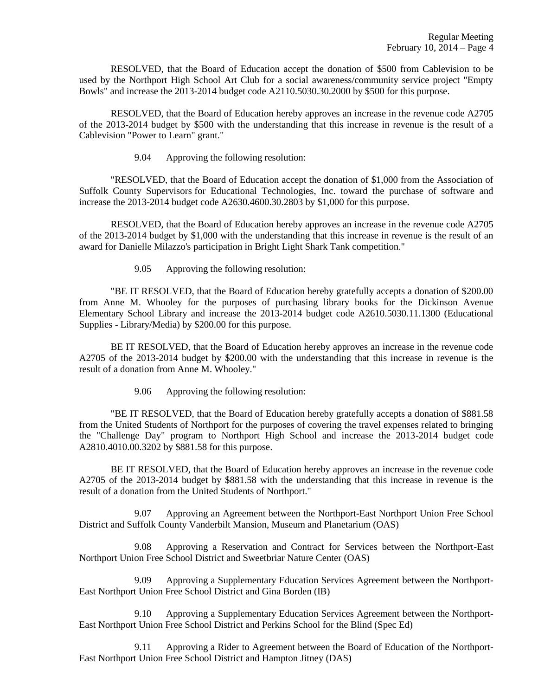RESOLVED, that the Board of Education accept the donation of \$500 from Cablevision to be used by the Northport High School Art Club for a social awareness/community service project "Empty Bowls" and increase the 2013-2014 budget code A2110.5030.30.2000 by \$500 for this purpose.

RESOLVED, that the Board of Education hereby approves an increase in the revenue code A2705 of the 2013-2014 budget by \$500 with the understanding that this increase in revenue is the result of a Cablevision "Power to Learn" grant."

9.04 Approving the following resolution:

"RESOLVED, that the Board of Education accept the donation of \$1,000 from the Association of Suffolk County Supervisors for Educational Technologies, Inc. toward the purchase of software and increase the 2013-2014 budget code A2630.4600.30.2803 by \$1,000 for this purpose.

RESOLVED, that the Board of Education hereby approves an increase in the revenue code A2705 of the 2013-2014 budget by \$1,000 with the understanding that this increase in revenue is the result of an award for Danielle Milazzo's participation in Bright Light Shark Tank competition."

9.05 Approving the following resolution:

"BE IT RESOLVED, that the Board of Education hereby gratefully accepts a donation of \$200.00 from Anne M. Whooley for the purposes of purchasing library books for the Dickinson Avenue Elementary School Library and increase the 2013-2014 budget code A2610.5030.11.1300 (Educational Supplies - Library/Media) by \$200.00 for this purpose.

BE IT RESOLVED, that the Board of Education hereby approves an increase in the revenue code A2705 of the 2013-2014 budget by \$200.00 with the understanding that this increase in revenue is the result of a donation from Anne M. Whooley."

9.06 Approving the following resolution:

"BE IT RESOLVED, that the Board of Education hereby gratefully accepts a donation of \$881.58 from the United Students of Northport for the purposes of covering the travel expenses related to bringing the "Challenge Day" program to Northport High School and increase the 2013-2014 budget code A2810.4010.00.3202 by \$881.58 for this purpose.

BE IT RESOLVED, that the Board of Education hereby approves an increase in the revenue code A2705 of the 2013-2014 budget by \$881.58 with the understanding that this increase in revenue is the result of a donation from the United Students of Northport."

9.07 Approving an Agreement between the Northport-East Northport Union Free School District and Suffolk County Vanderbilt Mansion, Museum and Planetarium (OAS)

9.08 Approving a Reservation and Contract for Services between the Northport-East Northport Union Free School District and Sweetbriar Nature Center (OAS)

9.09 Approving a Supplementary Education Services Agreement between the Northport-East Northport Union Free School District and Gina Borden (IB)

9.10 Approving a Supplementary Education Services Agreement between the Northport-East Northport Union Free School District and Perkins School for the Blind (Spec Ed)

9.11 Approving a Rider to Agreement between the Board of Education of the Northport-East Northport Union Free School District and Hampton Jitney (DAS)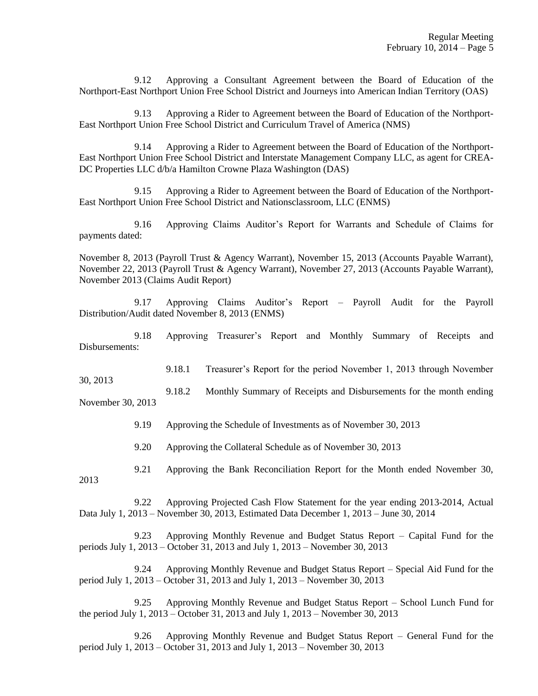9.12 Approving a Consultant Agreement between the Board of Education of the Northport-East Northport Union Free School District and Journeys into American Indian Territory (OAS)

9.13 Approving a Rider to Agreement between the Board of Education of the Northport-East Northport Union Free School District and Curriculum Travel of America (NMS)

9.14 Approving a Rider to Agreement between the Board of Education of the Northport-East Northport Union Free School District and Interstate Management Company LLC, as agent for CREA-DC Properties LLC d/b/a Hamilton Crowne Plaza Washington (DAS)

9.15 Approving a Rider to Agreement between the Board of Education of the Northport-East Northport Union Free School District and Nationsclassroom, LLC (ENMS)

9.16 Approving Claims Auditor's Report for Warrants and Schedule of Claims for payments dated:

November 8, 2013 (Payroll Trust & Agency Warrant), November 15, 2013 (Accounts Payable Warrant), November 22, 2013 (Payroll Trust & Agency Warrant), November 27, 2013 (Accounts Payable Warrant), November 2013 (Claims Audit Report)

9.17 Approving Claims Auditor's Report – Payroll Audit for the Payroll Distribution/Audit dated November 8, 2013 (ENMS)

9.18 Approving Treasurer's Report and Monthly Summary of Receipts and Disbursements:

9.18.1 Treasurer's Report for the period November 1, 2013 through November

9.18.2 Monthly Summary of Receipts and Disbursements for the month ending November 30, 2013

9.19 Approving the Schedule of Investments as of November 30, 2013

9.20 Approving the Collateral Schedule as of November 30, 2013

9.21 Approving the Bank Reconciliation Report for the Month ended November 30,

2013

30, 2013

9.22 Approving Projected Cash Flow Statement for the year ending 2013-2014, Actual Data July 1, 2013 – November 30, 2013, Estimated Data December 1, 2013 – June 30, 2014

9.23 Approving Monthly Revenue and Budget Status Report – Capital Fund for the periods July 1, 2013 – October 31, 2013 and July 1, 2013 – November 30, 2013

9.24 Approving Monthly Revenue and Budget Status Report – Special Aid Fund for the period July 1, 2013 – October 31, 2013 and July 1, 2013 – November 30, 2013

9.25 Approving Monthly Revenue and Budget Status Report – School Lunch Fund for the period July 1, 2013 – October 31, 2013 and July 1, 2013 – November 30, 2013

9.26 Approving Monthly Revenue and Budget Status Report – General Fund for the period July 1, 2013 – October 31, 2013 and July 1, 2013 – November 30, 2013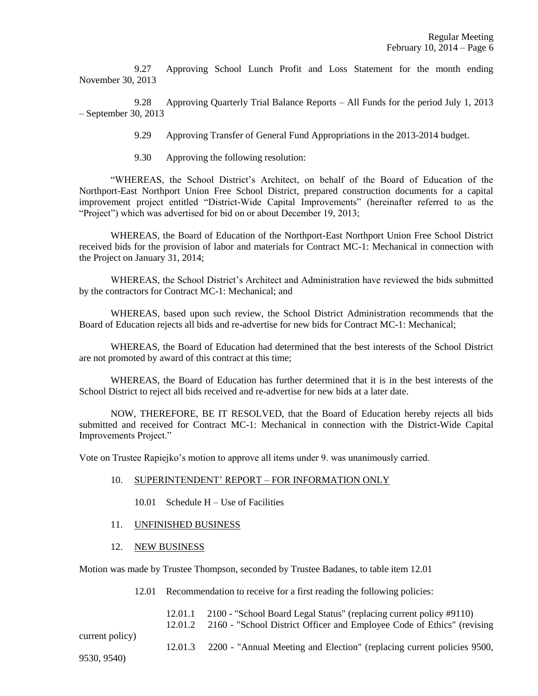9.27 Approving School Lunch Profit and Loss Statement for the month ending November 30, 2013

9.28 Approving Quarterly Trial Balance Reports – All Funds for the period July 1, 2013 – September 30, 2013

9.29 Approving Transfer of General Fund Appropriations in the 2013-2014 budget.

9.30 Approving the following resolution:

"WHEREAS, the School District's Architect, on behalf of the Board of Education of the Northport-East Northport Union Free School District, prepared construction documents for a capital improvement project entitled "District-Wide Capital Improvements" (hereinafter referred to as the "Project") which was advertised for bid on or about December 19, 2013;

WHEREAS, the Board of Education of the Northport-East Northport Union Free School District received bids for the provision of labor and materials for Contract MC-1: Mechanical in connection with the Project on January 31, 2014;

WHEREAS, the School District's Architect and Administration have reviewed the bids submitted by the contractors for Contract MC-1: Mechanical; and

WHEREAS, based upon such review, the School District Administration recommends that the Board of Education rejects all bids and re-advertise for new bids for Contract MC-1: Mechanical;

WHEREAS, the Board of Education had determined that the best interests of the School District are not promoted by award of this contract at this time;

WHEREAS, the Board of Education has further determined that it is in the best interests of the School District to reject all bids received and re-advertise for new bids at a later date.

NOW, THEREFORE, BE IT RESOLVED, that the Board of Education hereby rejects all bids submitted and received for Contract MC-1: Mechanical in connection with the District-Wide Capital Improvements Project."

Vote on Trustee Rapiejko's motion to approve all items under 9. was unanimously carried.

- 10. SUPERINTENDENT' REPORT FOR INFORMATION ONLY
	- 10.01 Schedule H Use of Facilities
- 11. UNFINISHED BUSINESS
- 12. NEW BUSINESS

Motion was made by Trustee Thompson, seconded by Trustee Badanes, to table item 12.01

- 12.01 Recommendation to receive for a first reading the following policies:
	- 12.01.1 2100 "School Board Legal Status" (replacing current policy #9110)

12.01.2 2160 - "School District Officer and Employee Code of Ethics" (revising

current policy)

12.01.3 2200 - "Annual Meeting and Election" (replacing current policies 9500,

9530, 9540)